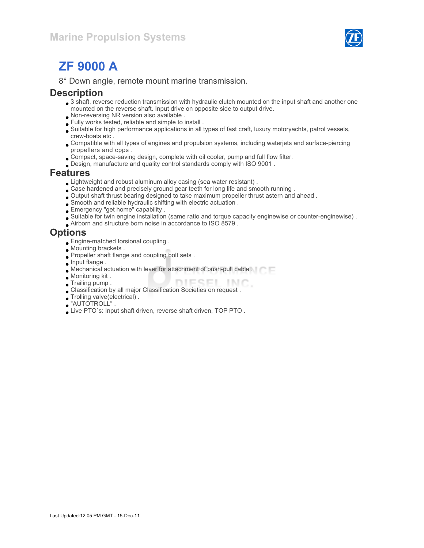

# ZF 9000 A

8° Down angle, remote mount marine transmission.

#### **Description**

- 3 shaft, reverse reduction transmission with hydraulic clutch mounted on the input shaft and another one mounted on the reverse shaft. Input drive on opposite side to output drive.
- Non-reversing NR version also available .
- Fully works tested, reliable and simple to install .
- Suitable for high performance applications in all types of fast craft, luxury motoryachts, patrol vessels, crew-boats etc .
- Compatible with all types of engines and propulsion systems, including waterjets and surface-piercing propellers and cpps .
- Compact, space-saving design, complete with oil cooler, pump and full flow filter.
- Design, manufacture and quality control standards comply with ISO 9001 .

#### Features

- Lightweight and robust aluminum alloy casing (sea water resistant) .
- Case hardened and precisely ground gear teeth for long life and smooth running .
- Output shaft thrust bearing designed to take maximum propeller thrust astern and ahead .
- Smooth and reliable hydraulic shifting with electric actuation .
- Emergency "get home" capability .
- Suitable for twin engine installation (same ratio and torque capacity enginewise or counter-enginewise) .
- Airborn and structure born noise in accordance to ISO 8579 .

#### **Options**

- Engine-matched torsional coupling .
- Mounting brackets .
- Propeller shaft flange and coupling bolt sets .
- **Input flange.**
- Mechanical actuation with lever for attachment of push-pull cable .
- Monitoring kit .
- Trailing pump . DIESEL INC
- Classification by all major Classification Societies on request .
- Trolling valve(electrical) .
- "AUTOTROLL" .
- Live PTO`s: Input shaft driven, reverse shaft driven, TOP PTO .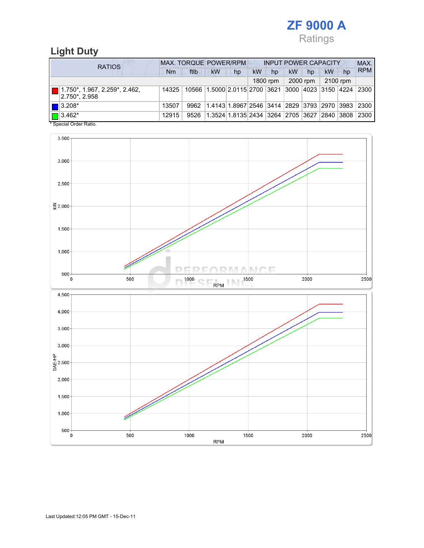

## Light Duty

| <b>RATIOS</b>                                                      | MAX. TORQUE POWER/RPM |      |                                                         |    | <b>INPUT POWER CAPACITY</b> |          |    |          |           |    | MAX.       |
|--------------------------------------------------------------------|-----------------------|------|---------------------------------------------------------|----|-----------------------------|----------|----|----------|-----------|----|------------|
|                                                                    | Nm                    | ftlb | kW                                                      | hp | kW                          | hp       | kW | hp       | <b>kW</b> | hp | <b>RPM</b> |
|                                                                    |                       |      |                                                         |    |                             | 1800 rpm |    | 2000 rpm | 2100 rpm  |    |            |
| $\boxed{ }$   1.750*, 1.967, 2.259*, 2.462,<br>$ 2.750^* $ . 2.958 | 14325                 |      | 10566 1.5000 2.0115 2700 3621 3000 4023 3150 4224 2300  |    |                             |          |    |          |           |    |            |
| $\blacksquare$ 3.208*                                              | 13507                 | 9962 | 1.4143 1.8967 2546 3414 2829 3793 2970 3983 2300        |    |                             |          |    |          |           |    |            |
| $\Box$ 3.462*                                                      | 12915                 | 9526 | 1.3524 1.8135 2434  3264  2705  3627  2840  3808   2300 |    |                             |          |    |          |           |    |            |

\* Special Order Ratio.

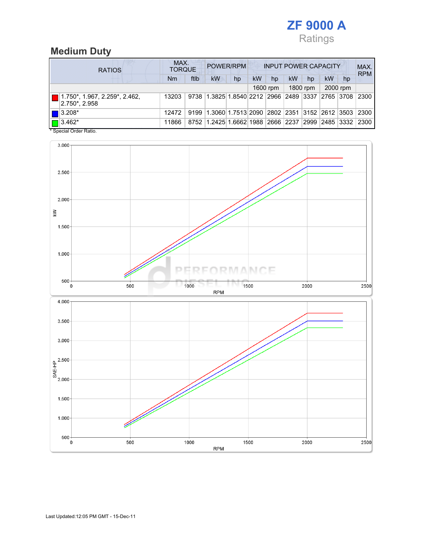

# Medium Duty

| <b>RATIOS</b>                                                     | MAX.<br>POWER/RPM<br><b>INPUT POWER CAPACITY</b><br><b>TORQUE</b> |      |                                                  |    |    |          |    |          |                | MAX.<br><b>RPM</b> |      |
|-------------------------------------------------------------------|-------------------------------------------------------------------|------|--------------------------------------------------|----|----|----------|----|----------|----------------|--------------------|------|
|                                                                   | Nm                                                                | ftlb | <b>kW</b>                                        | hp | kW | hp       | kW | hp       | kW             | hp                 |      |
|                                                                   |                                                                   |      |                                                  |    |    | 1600 rpm |    | 1800 rpm |                | 2000 rpm           |      |
| $\blacksquare$ 1.750*, 1.967, 2.259*, 2.462,<br>$ 2.750^* 2.958 $ | 13203                                                             |      | 9738 1.3825 1.8540 2212 2966 2489 3337 2765 3708 |    |    |          |    |          |                |                    | 2300 |
| $\blacksquare$ 3.208*                                             | 12472                                                             | 9199 | 1.3060 1.7513 2090 2802 2351 3152 2612 3503 2300 |    |    |          |    |          |                |                    |      |
| $\sqrt{3.462^*}$                                                  | 11866                                                             |      | 8752 1.2425 1.6662 1988 2666 2237                |    |    |          |    |          | 2999 2485 3332 |                    | 2300 |

\* Special Order Ratio.

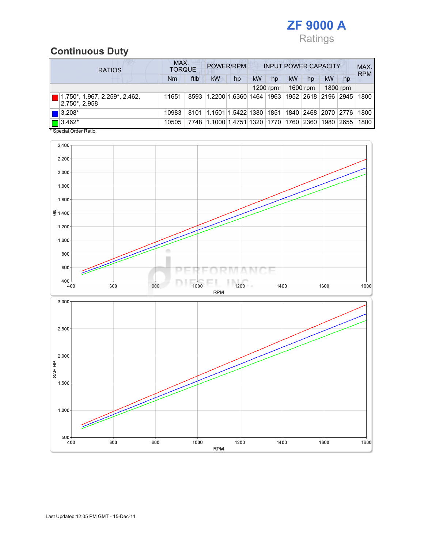

# Continuous Duty

| <b>RATIOS</b> |                                                     | MAX.<br>POWER/RPM<br><b>INPUT POWER CAPACITY</b><br><b>TORQUE</b> |      |                                                  |    |    |          |    |          |      | MAX.<br><b>RPM</b> |      |
|---------------|-----------------------------------------------------|-------------------------------------------------------------------|------|--------------------------------------------------|----|----|----------|----|----------|------|--------------------|------|
|               |                                                     | Nm                                                                | ftlb | <b>kW</b>                                        | hp | kW | hp       | kW | hp       | kW   | hp                 |      |
|               |                                                     |                                                                   |      |                                                  |    |    | 1200 rpm |    | 1600 rpm |      | 1800 rpm           |      |
|               | 1.750*, 1.967, 2.259*, 2.462,<br>$ 2.750^* , 2.958$ | 11651                                                             |      | 8593 1.2200 1.6360 1464 1963 1952 2618 2196 2945 |    |    |          |    |          |      |                    | 1800 |
|               | $\blacksquare$ 3.208*                               | 10983                                                             | 8101 | 1.1501 1.5422 1380 1851 1840 2468 2070 2776      |    |    |          |    |          |      |                    | 1800 |
|               | $\Box$ 3.462*                                       | 10505                                                             | 7748 | 11.1000 1.4751 1320 1770 1760 2360               |    |    |          |    |          | 1980 | 2655               | 1800 |

\* Special Order Ratio.

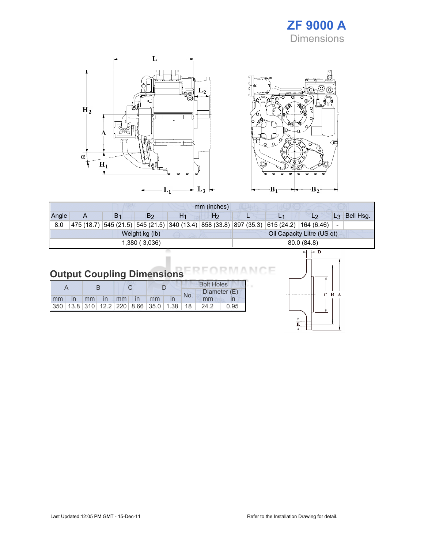### ZF 9000 A **Dimensions**

 $C$   $B$   $A$ 





## Output Coupling Dimensions

|    |    |               |    |  |    |                                                         | <b>Bolt Holes</b>   |      |      |
|----|----|---------------|----|--|----|---------------------------------------------------------|---------------------|------|------|
|    |    |               |    |  |    |                                                         | Diameter (E)<br>No. |      |      |
| mm | mm | $\mathsf{In}$ | mm |  | mm |                                                         |                     | mm   |      |
|    |    |               |    |  |    | 350   13.8   310   12.2   220   8.66   35.0   1.38   18 |                     | 24.2 | 0.95 |